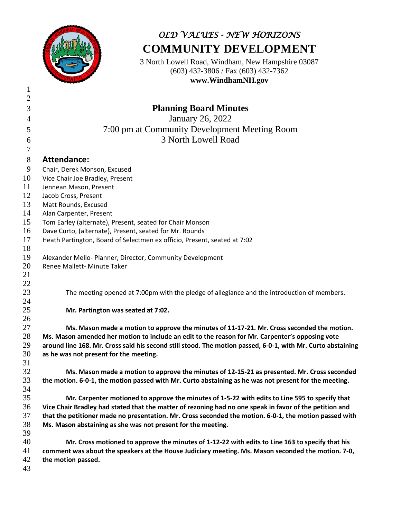

## *OLD VALUES - NEW HORIZONS* **COMMUNITY DEVELOPMENT**

3 North Lowell Road, Windham, New Hampshire 03087 (603) 432-3806 / Fax (603) 432-7362 **www.WindhamNH.gov**

| $\mathbf{1}$   |                                                                                                             |
|----------------|-------------------------------------------------------------------------------------------------------------|
| $\overline{2}$ |                                                                                                             |
| 3              | <b>Planning Board Minutes</b>                                                                               |
| $\overline{4}$ | January 26, 2022                                                                                            |
| 5              | 7:00 pm at Community Development Meeting Room                                                               |
| 6              | 3 North Lowell Road                                                                                         |
| $\overline{7}$ |                                                                                                             |
| $8\,$          | <b>Attendance:</b>                                                                                          |
| 9              | Chair, Derek Monson, Excused                                                                                |
| 10             | Vice Chair Joe Bradley, Present                                                                             |
| 11             | Jennean Mason, Present                                                                                      |
| 12             | Jacob Cross, Present                                                                                        |
| 13             | Matt Rounds, Excused                                                                                        |
| 14             | Alan Carpenter, Present                                                                                     |
| 15             | Tom Earley (alternate), Present, seated for Chair Monson                                                    |
| 16             | Dave Curto, (alternate), Present, seated for Mr. Rounds                                                     |
| 17             | Heath Partington, Board of Selectmen ex officio, Present, seated at 7:02                                    |
| 18             |                                                                                                             |
| 19             | Alexander Mello- Planner, Director, Community Development                                                   |
| 20             | Renee Mallett- Minute Taker                                                                                 |
| 21             |                                                                                                             |
| 22             |                                                                                                             |
| 23             | The meeting opened at 7:00pm with the pledge of allegiance and the introduction of members.                 |
| 24             |                                                                                                             |
| 25             | Mr. Partington was seated at 7:02.                                                                          |
| 26             |                                                                                                             |
| 27             | Ms. Mason made a motion to approve the minutes of 11-17-21. Mr. Cross seconded the motion.                  |
| 28             | Ms. Mason amended her motion to include an edit to the reason for Mr. Carpenter's opposing vote             |
| 29             | around line 168. Mr. Cross said his second still stood. The motion passed, 6-0-1, with Mr. Curto abstaining |
| 30             | as he was not present for the meeting.                                                                      |
| 31             |                                                                                                             |
| 32             | Ms. Mason made a motion to approve the minutes of 12-15-21 as presented. Mr. Cross seconded                 |
| 33             | the motion. 6-0-1, the motion passed with Mr. Curto abstaining as he was not present for the meeting.       |
| 34             |                                                                                                             |
| 35             | Mr. Carpenter motioned to approve the minutes of 1-5-22 with edits to Line 595 to specify that              |
| 36             | Vice Chair Bradley had stated that the matter of rezoning had no one speak in favor of the petition and     |
| 37             | that the petitioner made no presentation. Mr. Cross seconded the motion. 6-0-1, the motion passed with      |
| 38             | Ms. Mason abstaining as she was not present for the meeting.                                                |
| 39             |                                                                                                             |
| 40             | Mr. Cross motioned to approve the minutes of 1-12-22 with edits to Line 163 to specify that his             |
| 41             | comment was about the speakers at the House Judiciary meeting. Ms. Mason seconded the motion. 7-0,          |
| 42             | the motion passed.                                                                                          |
| 43             |                                                                                                             |